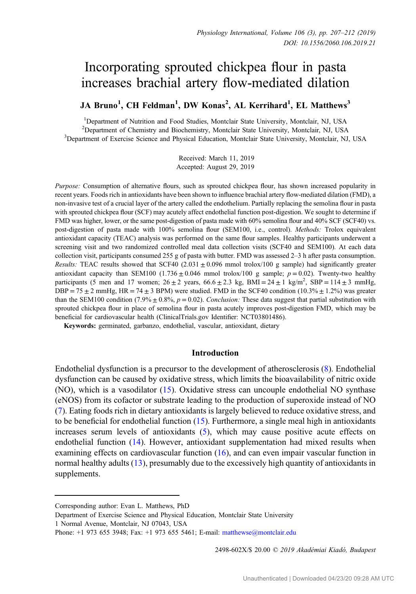# Incorporating sprouted chickpea flour in pasta increases brachial artery flow-mediated dilation

JA Bruno<sup>1</sup>, CH Feldman<sup>1</sup>, DW Konas<sup>2</sup>, AL Kerrihard<sup>1</sup>, EL Matthews<sup>3</sup>

<sup>1</sup>Department of Nutrition and Food Studies, Montclair State University, Montclair, NJ, USA <sup>2</sup> Department of Chemistry and Biochemistry, Montclair State University, Montclair, NJ, USA<br><sup>3</sup> Department of Exercise Science and Physical Education, Montclair State University, Montclair, NJ <sup>3</sup>Department of Exercise Science and Physical Education, Montclair State University, Montclair, NJ, USA

> Received: March 11, 2019 Accepted: August 29, 2019

Purpose: Consumption of alternative flours, such as sprouted chickpea flour, has shown increased popularity in recent years. Foods rich in antioxidants have been shown to influence brachial artery flow-mediated dilation (FMD), a non-invasive test of a crucial layer of the artery called the endothelium. Partially replacing the semolina flour in pasta with sprouted chickpea flour (SCF) may acutely affect endothelial function post-digestion. We sought to determine if FMD was higher, lower, or the same post-digestion of pasta made with 60% semolina flour and 40% SCF (SCF40) vs. post-digestion of pasta made with 100% semolina flour (SEM100, i.e., control). Methods: Trolox equivalent antioxidant capacity (TEAC) analysis was performed on the same flour samples. Healthy participants underwent a screening visit and two randomized controlled meal data collection visits (SCF40 and SEM100). At each data collection visit, participants consumed 255 g of pasta with butter. FMD was assessed 2–3 h after pasta consumption. Results: TEAC results showed that SCF40  $(2.031 \pm 0.096$  mmol trolox/100 g sample) had significantly greater antioxidant capacity than SEM100 (1.736  $\pm$  0.046 mmol trolox/100 g sample;  $p = 0.02$ ). Twenty-two healthy participants (5 men and 17 women;  $26 \pm 2$  years,  $66.6 \pm 2.3$  kg, BMI =  $24 \pm 1$  kg/m<sup>2</sup>, SBP =  $114 \pm 3$  mmHg,  $DBP = 75 \pm 2$  mmHg, HR = 74  $\pm$  3 BPM) were studied. FMD in the SCF40 condition (10.3%  $\pm$  1.2%) was greater than the SEM100 condition (7.9%  $\pm$  0.8%,  $p = 0.02$ ). Conclusion: These data suggest that partial substitution with sprouted chickpea flour in place of semolina flour in pasta acutely improves post-digestion FMD, which may be beneficial for cardiovascular health (ClinicalTrials.gov Identifier: NCT03801486).

Keywords: germinated, garbanzo, endothelial, vascular, antioxidant, dietary

## Introduction

Endothelial dysfunction is a precursor to the development of atherosclerosis [\(8\)](#page-5-0). Endothelial dysfunction can be caused by oxidative stress, which limits the bioavailability of nitric oxide (NO), which is a vasodilator [\(15](#page-5-0)). Oxidative stress can uncouple endothelial NO synthase (eNOS) from its cofactor or substrate leading to the production of superoxide instead of NO [\(7](#page-5-0)). Eating foods rich in dietary antioxidants is largely believed to reduce oxidative stress, and to be beneficial for endothelial function ([15\)](#page-5-0). Furthermore, a single meal high in antioxidants increases serum levels of antioxidants ([5\)](#page-5-0), which may cause positive acute effects on endothelial function [\(14](#page-5-0)). However, antioxidant supplementation had mixed results when examining effects on cardiovascular function ([16\)](#page-5-0), and can even impair vascular function in normal healthy adults [\(13](#page-5-0)), presumably due to the excessively high quantity of antioxidants in supplements.

2498-602X/\$ 20.00 © 2019 Akadémiai Kiadó, Budapest

Corresponding author: Evan L. Matthews, PhD

Department of Exercise Science and Physical Education, Montclair State University 1 Normal Avenue, Montclair, NJ 07043, USA

Phone: +1 973 655 3948; Fax: +1 973 655 5461; E-mail: [matthewse@montclair.edu](mailto:matthewse@montclair.edu)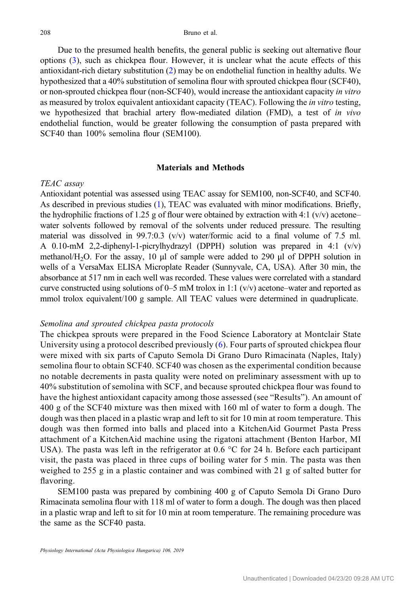Due to the presumed health benefits, the general public is seeking out alternative flour options ([3\)](#page-5-0), such as chickpea flour. However, it is unclear what the acute effects of this antioxidant-rich dietary substitution [\(2](#page-4-0)) may be on endothelial function in healthy adults. We hypothesized that a 40% substitution of semolina flour with sprouted chickpea flour (SCF40), or non-sprouted chickpea flour (non-SCF40), would increase the antioxidant capacity in vitro as measured by trolox equivalent antioxidant capacity (TEAC). Following the in vitro testing, we hypothesized that brachial artery flow-mediated dilation (FMD), a test of in vivo endothelial function, would be greater following the consumption of pasta prepared with SCF40 than 100% semolina flour (SEM100).

## Materials and Methods

## TEAC assay

Antioxidant potential was assessed using TEAC assay for SEM100, non-SCF40, and SCF40. As described in previous studies [\(1](#page-4-0)), TEAC was evaluated with minor modifications. Briefly, the hydrophilic fractions of 1.25 g of flour were obtained by extraction with 4:1 ( $v/v$ ) acetone– water solvents followed by removal of the solvents under reduced pressure. The resulting material was dissolved in 99.7:0.3 ( $v/v$ ) water/formic acid to a final volume of 7.5 ml. A 0.10-mM 2,2-diphenyl-1-picrylhydrazyl (DPPH) solution was prepared in 4:1  $(v/v)$ methanol/H<sub>2</sub>O. For the assay, 10  $\mu$ l of sample were added to 290  $\mu$ l of DPPH solution in wells of a VersaMax ELISA Microplate Reader (Sunnyvale, CA, USA). After 30 min, the absorbance at 517 nm in each well was recorded. These values were correlated with a standard curve constructed using solutions of 0–5 mM trolox in 1:1 ( $v/v$ ) acetone–water and reported as mmol trolox equivalent/100 g sample. All TEAC values were determined in quadruplicate.

## Semolina and sprouted chickpea pasta protocols

The chickpea sprouts were prepared in the Food Science Laboratory at Montclair State University using a protocol described previously  $(6)$  $(6)$  $(6)$ . Four parts of sprouted chickpea flour were mixed with six parts of Caputo Semola Di Grano Duro Rimacinata (Naples, Italy) semolina flour to obtain SCF40. SCF40 was chosen as the experimental condition because no notable decrements in pasta quality were noted on preliminary assessment with up to 40% substitution of semolina with SCF, and because sprouted chickpea flour was found to have the highest antioxidant capacity among those assessed (see "Results"). An amount of 400 g of the SCF40 mixture was then mixed with 160 ml of water to form a dough. The dough was then placed in a plastic wrap and left to sit for 10 min at room temperature. This dough was then formed into balls and placed into a KitchenAid Gourmet Pasta Press attachment of a KitchenAid machine using the rigatoni attachment (Benton Harbor, MI USA). The pasta was left in the refrigerator at 0.6  $\degree$ C for 24 h. Before each participant visit, the pasta was placed in three cups of boiling water for 5 min. The pasta was then weighed to 255 g in a plastic container and was combined with 21 g of salted butter for flavoring.

SEM100 pasta was prepared by combining 400 g of Caputo Semola Di Grano Duro Rimacinata semolina flour with 118 ml of water to form a dough. The dough was then placed in a plastic wrap and left to sit for 10 min at room temperature. The remaining procedure was the same as the SCF40 pasta.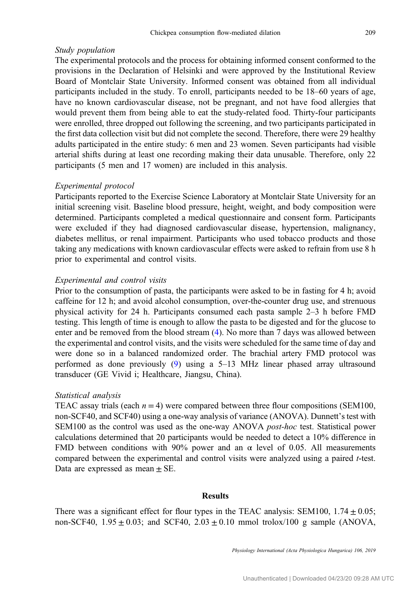## Study population

The experimental protocols and the process for obtaining informed consent conformed to the provisions in the Declaration of Helsinki and were approved by the Institutional Review Board of Montclair State University. Informed consent was obtained from all individual participants included in the study. To enroll, participants needed to be 18–60 years of age, have no known cardiovascular disease, not be pregnant, and not have food allergies that would prevent them from being able to eat the study-related food. Thirty-four participants were enrolled, three dropped out following the screening, and two participants participated in the first data collection visit but did not complete the second. Therefore, there were 29 healthy adults participated in the entire study: 6 men and 23 women. Seven participants had visible arterial shifts during at least one recording making their data unusable. Therefore, only 22 participants (5 men and 17 women) are included in this analysis.

## Experimental protocol

Participants reported to the Exercise Science Laboratory at Montclair State University for an initial screening visit. Baseline blood pressure, height, weight, and body composition were determined. Participants completed a medical questionnaire and consent form. Participants were excluded if they had diagnosed cardiovascular disease, hypertension, malignancy, diabetes mellitus, or renal impairment. Participants who used tobacco products and those taking any medications with known cardiovascular effects were asked to refrain from use 8 h prior to experimental and control visits.

#### Experimental and control visits

Prior to the consumption of pasta, the participants were asked to be in fasting for 4 h; avoid caffeine for 12 h; and avoid alcohol consumption, over-the-counter drug use, and strenuous physical activity for 24 h. Participants consumed each pasta sample 2–3 h before FMD testing. This length of time is enough to allow the pasta to be digested and for the glucose to enter and be removed from the blood stream ([4\)](#page-5-0). No more than 7 days was allowed between the experimental and control visits, and the visits were scheduled for the same time of day and were done so in a balanced randomized order. The brachial artery FMD protocol was performed as done previously [\(9](#page-5-0)) using a 5–13 MHz linear phased array ultrasound transducer (GE Vivid i; Healthcare, Jiangsu, China).

### Statistical analysis

TEAC assay trials (each  $n = 4$ ) were compared between three flour compositions (SEM100, non-SCF40, and SCF40) using a one-way analysis of variance (ANOVA). Dunnett's test with SEM100 as the control was used as the one-way ANOVA post-hoc test. Statistical power calculations determined that 20 participants would be needed to detect a 10% difference in FMD between conditions with 90% power and an  $\alpha$  level of 0.05. All measurements compared between the experimental and control visits were analyzed using a paired t-test. Data are expressed as mean  $\pm$  SE.

## Results

There was a significant effect for flour types in the TEAC analysis: SEM100,  $1.74 \pm 0.05$ ; non-SCF40,  $1.95 \pm 0.03$ ; and SCF40,  $2.03 \pm 0.10$  mmol trolox/100 g sample (ANOVA,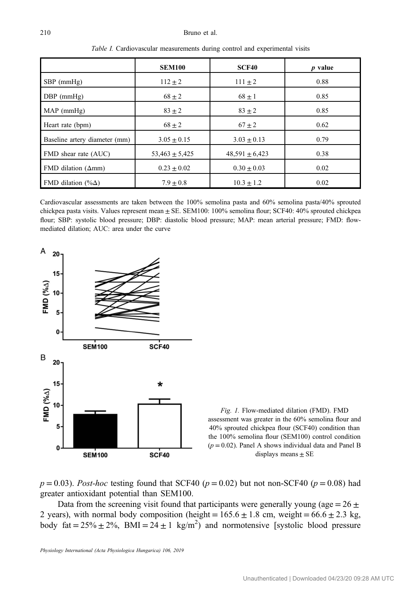#### <span id="page-3-0"></span>210 Bruno et al.

|                               | <b>SEM100</b>      | <b>SCF40</b>       | $p$ value |
|-------------------------------|--------------------|--------------------|-----------|
| $SBP$ (mmHg)                  | $112 \pm 2$        | $111 \pm 2$        | 0.88      |
| $DBP$ (mmHg)                  | $68 \pm 2$         | $68 \pm 1$         | 0.85      |
| $MAP$ (mmHg)                  | $83 \pm 2$         | $83 + 2$           | 0.85      |
| Heart rate (bpm)              | $68 \pm 2$         | $67 \pm 2$         | 0.62      |
| Baseline artery diameter (mm) | $3.05 \pm 0.15$    | $3.03 \pm 0.13$    | 0.79      |
| FMD shear rate (AUC)          | $53,463 \pm 5,425$ | $48,591 \pm 6,423$ | 0.38      |
| FMD dilation $(\Delta mm)$    | $0.23 \pm 0.02$    | $0.30 \pm 0.03$    | 0.02      |
| FMD dilation (% $\Delta$ )    | $7.9 \pm 0.8$      | $10.3 \pm 1.2$     | 0.02      |

Table I. Cardiovascular measurements during control and experimental visits

Cardiovascular assessments are taken between the 100% semolina pasta and 60% semolina pasta/40% sprouted chickpea pasta visits. Values represent mean  $\pm$  SE. SEM100: 100% semolina flour; SCF40: 40% sprouted chickpea flour; SBP: systolic blood pressure; DBP: diastolic blood pressure; MAP: mean arterial pressure; FMD: flowmediated dilation; AUC: area under the curve



Fig. 1. Flow-mediated dilation (FMD). FMD assessment was greater in the 60% semolina flour and 40% sprouted chickpea flour (SCF40) condition than the 100% semolina flour (SEM100) control condition  $(p = 0.02)$ . Panel A shows individual data and Panel B displays means  $\pm$  SE

 $p = 0.03$ ). Post-hoc testing found that SCF40 ( $p = 0.02$ ) but not non-SCF40 ( $p = 0.08$ ) had greater antioxidant potential than SEM100.

Data from the screening visit found that participants were generally young (age =  $26 \pm$ 2 years), with normal body composition (height =  $165.6 \pm 1.8$  cm, weight =  $66.6 \pm 2.3$  kg, body fat =  $25\% \pm 2\%$ , BMI =  $24 \pm 1$  kg/m<sup>2</sup>) and normotensive [systolic blood pressure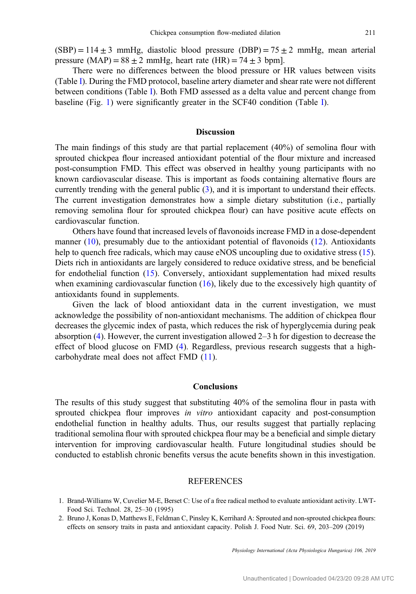<span id="page-4-0"></span> $(SBP) = 114 \pm 3$  mmHg, diastolic blood pressure  $(DBP) = 75 \pm 2$  mmHg, mean arterial pressure (MAP) =  $88 \pm 2$  mmHg, heart rate (HR) =  $74 \pm 3$  bpm].

There were no differences between the blood pressure or HR values between visits (Table [I](#page-3-0)). During the FMD protocol, baseline artery diameter and shear rate were not different between conditions (Table [I\)](#page-3-0). Both FMD assessed as a delta value and percent change from baseline (Fig. [1](#page-3-0)) were significantly greater in the SCF40 condition (Table [I\)](#page-3-0).

## Discussion

The main findings of this study are that partial replacement (40%) of semolina flour with sprouted chickpea flour increased antioxidant potential of the flour mixture and increased post-consumption FMD. This effect was observed in healthy young participants with no known cardiovascular disease. This is important as foods containing alternative flours are currently trending with the general public ([3\)](#page-5-0), and it is important to understand their effects. The current investigation demonstrates how a simple dietary substitution (i.e., partially removing semolina flour for sprouted chickpea flour) can have positive acute effects on cardiovascular function.

Others have found that increased levels of flavonoids increase FMD in a dose-dependent manner  $(10)$  $(10)$ , presumably due to the antioxidant potential of flavonoids  $(12)$  $(12)$ . Antioxidants help to quench free radicals, which may cause eNOS uncoupling due to oxidative stress [\(15](#page-5-0)). Diets rich in antioxidants are largely considered to reduce oxidative stress, and be beneficial for endothelial function ([15\)](#page-5-0). Conversely, antioxidant supplementation had mixed results when examining cardiovascular function  $(16)$  $(16)$ , likely due to the excessively high quantity of antioxidants found in supplements.

Given the lack of blood antioxidant data in the current investigation, we must acknowledge the possibility of non-antioxidant mechanisms. The addition of chickpea flour decreases the glycemic index of pasta, which reduces the risk of hyperglycemia during peak absorption [\(4](#page-5-0)). However, the current investigation allowed 2–3 h for digestion to decrease the effect of blood glucose on FMD ([4\)](#page-5-0). Regardless, previous research suggests that a highcarbohydrate meal does not affect FMD [\(11\)](#page-5-0).

## Conclusions

The results of this study suggest that substituting 40% of the semolina flour in pasta with sprouted chickpea flour improves *in vitro* antioxidant capacity and post-consumption endothelial function in healthy adults. Thus, our results suggest that partially replacing traditional semolina flour with sprouted chickpea flour may be a beneficial and simple dietary intervention for improving cardiovascular health. Future longitudinal studies should be conducted to establish chronic benefits versus the acute benefits shown in this investigation.

## REFERENCES

- 1. Brand-Williams W, Cuvelier M-E, Berset C: Use of a free radical method to evaluate antioxidant activity. LWT-Food Sci. Technol. 28, 25–30 (1995)
- 2. Bruno J, Konas D, Matthews E, Feldman C, Pinsley K, Kerrihard A: Sprouted and non-sprouted chickpea flours: effects on sensory traits in pasta and antioxidant capacity. Polish J. Food Nutr. Sci. 69, 203–209 (2019)

Physiology International (Acta Physiologica Hungarica) 106, 2019